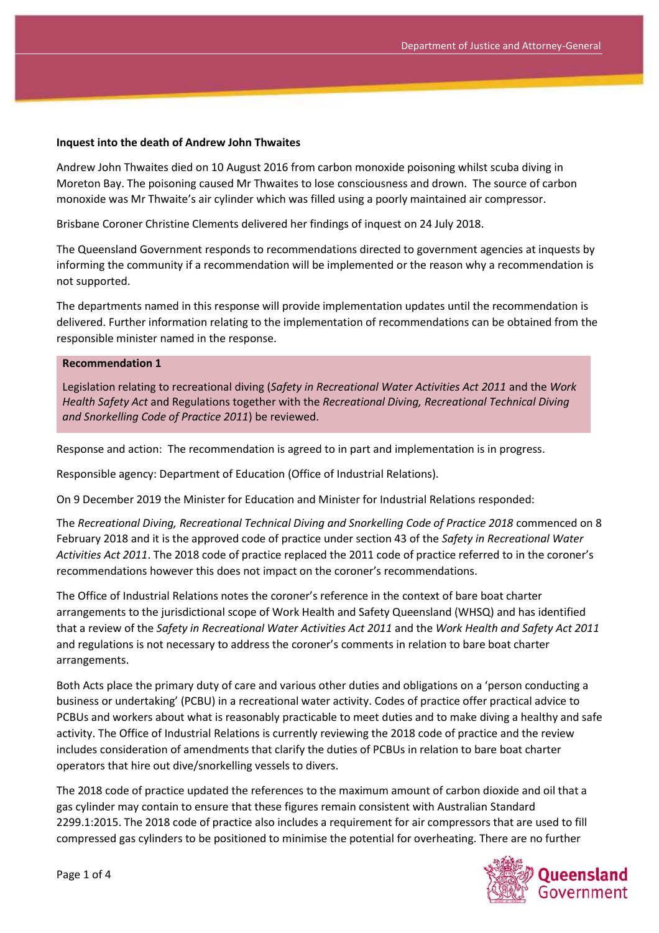#### **Inquest into the death of Andrew John Thwaites**

Andrew John Thwaites died on 10 August 2016 from carbon monoxide poisoning whilst scuba diving in Moreton Bay. The poisoning caused Mr Thwaites to lose consciousness and drown. The source of carbon monoxide was Mr Thwaite's air cylinder which was filled using a poorly maintained air compressor.

Brisbane Coroner Christine Clements delivered her findings of inquest on 24 July 2018.

The Queensland Government responds to recommendations directed to government agencies at inquests by informing the community if a recommendation will be implemented or the reason why a recommendation is not supported.

The departments named in this response will provide implementation updates until the recommendation is delivered. Further information relating to the implementation of recommendations can be obtained from the responsible minister named in the response.

#### **Recommendation 1**

Legislation relating to recreational diving (*Safety in Recreational Water Activities Act 2011* and the *Work Health Safety Act* and Regulations together with the *Recreational Diving, Recreational Technical Diving and Snorkelling Code of Practice 2011*) be reviewed.

Response and action: The recommendation is agreed to in part and implementation is in progress.

Responsible agency: Department of Education (Office of Industrial Relations).

On 9 December 2019 the Minister for Education and Minister for Industrial Relations responded:

The *Recreational Diving, Recreational Technical Diving and Snorkelling Code of Practice 2018* commenced on 8 February 2018 and it is the approved code of practice under section 43 of the *Safety in Recreational Water Activities Act 2011*. The 2018 code of practice replaced the 2011 code of practice referred to in the coroner's recommendations however this does not impact on the coroner's recommendations.

The Office of Industrial Relations notes the coroner's reference in the context of bare boat charter arrangements to the jurisdictional scope of Work Health and Safety Queensland (WHSQ) and has identified that a review of the *Safety in Recreational Water Activities Act 2011* and the *Work Health and Safety Act 2011* and regulations is not necessary to address the coroner's comments in relation to bare boat charter arrangements.

Both Acts place the primary duty of care and various other duties and obligations on a 'person conducting a business or undertaking' (PCBU) in a recreational water activity. Codes of practice offer practical advice to PCBUs and workers about what is reasonably practicable to meet duties and to make diving a healthy and safe activity. The Office of Industrial Relations is currently reviewing the 2018 code of practice and the review includes consideration of amendments that clarify the duties of PCBUs in relation to bare boat charter operators that hire out dive/snorkelling vessels to divers.

The 2018 code of practice updated the references to the maximum amount of carbon dioxide and oil that a gas cylinder may contain to ensure that these figures remain consistent with Australian Standard 2299.1:2015. The 2018 code of practice also includes a requirement for air compressors that are used to fill compressed gas cylinders to be positioned to minimise the potential for overheating. There are no further

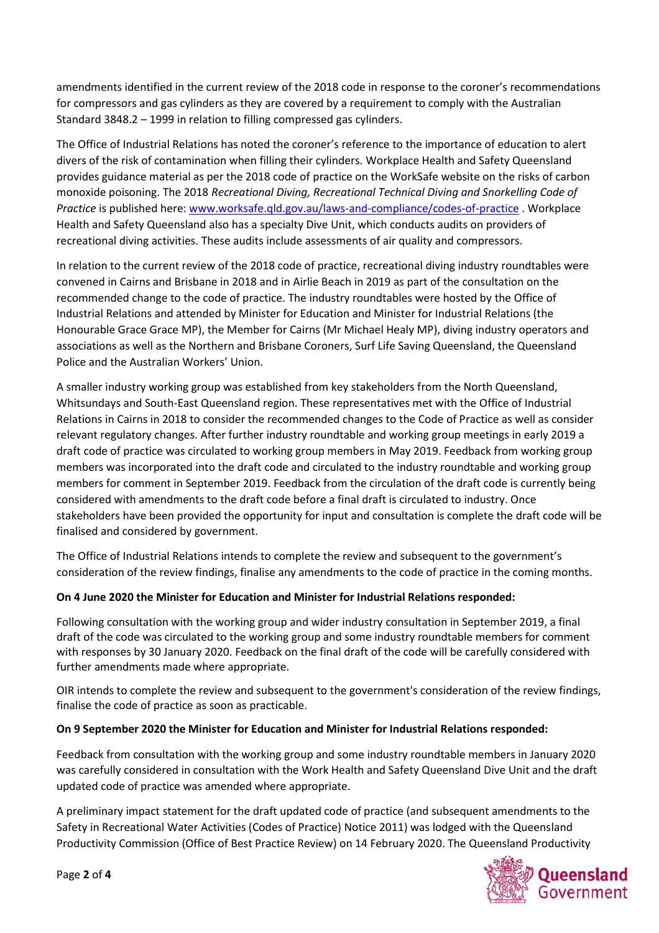amendments identified in the current review of the 2018 code in response to the coroner's recommendations for compressors and gas cylinders as they are covered by a requirement to comply with the Australian Standard 3848.2 – 1999 in relation to filling compressed gas cylinders.

The Office of Industrial Relations has noted the coroner's reference to the importance of education to alert divers of the risk of contamination when filling their cylinders. Workplace Health and Safety Queensland provides guidance material as per the 2018 code of practice on the WorkSafe website on the risks of carbon monoxide poisoning. The 2018 *Recreational Diving, Recreational Technical Diving and Snorkelling Code of Practice* is published here: [www.worksafe.qld.gov.au/laws-and-compliance/codes-of-practice](http://www.worksafe.qld.gov.au/laws-and-compliance/codes-of-practice) . Workplace Health and Safety Queensland also has a specialty Dive Unit, which conducts audits on providers of recreational diving activities. These audits include assessments of air quality and compressors.

In relation to the current review of the 2018 code of practice, recreational diving industry roundtables were convened in Cairns and Brisbane in 2018 and in Airlie Beach in 2019 as part of the consultation on the recommended change to the code of practice. The industry roundtables were hosted by the Office of Industrial Relations and attended by Minister for Education and Minister for Industrial Relations (the Honourable Grace Grace MP), the Member for Cairns (Mr Michael Healy MP), diving industry operators and associations as well as the Northern and Brisbane Coroners, Surf Life Saving Queensland, the Queensland Police and the Australian Workers' Union.

A smaller industry working group was established from key stakeholders from the North Queensland, Whitsundays and South-East Queensland region. These representatives met with the Office of Industrial Relations in Cairns in 2018 to consider the recommended changes to the Code of Practice as well as consider relevant regulatory changes. After further industry roundtable and working group meetings in early 2019 a draft code of practice was circulated to working group members in May 2019. Feedback from working group members was incorporated into the draft code and circulated to the industry roundtable and working group members for comment in September 2019. Feedback from the circulation of the draft code is currently being considered with amendments to the draft code before a final draft is circulated to industry. Once stakeholders have been provided the opportunity for input and consultation is complete the draft code will be finalised and considered by government.

The Office of Industrial Relations intends to complete the review and subsequent to the government's consideration of the review findings, finalise any amendments to the code of practice in the coming months.

## **On 4 June 2020 the Minister for Education and Minister for Industrial Relations responded:**

Following consultation with the working group and wider industry consultation in September 2019, a final draft of the code was circulated to the working group and some industry roundtable members for comment with responses by 30 January 2020. Feedback on the final draft of the code will be carefully considered with further amendments made where appropriate.

OIR intends to complete the review and subsequent to the government's consideration of the review findings, finalise the code of practice as soon as practicable.

## **On 9 September 2020 the Minister for Education and Minister for Industrial Relations responded:**

Feedback from consultation with the working group and some industry roundtable members in January 2020 was carefully considered in consultation with the Work Health and Safety Queensland Dive Unit and the draft updated code of practice was amended where appropriate.

A preliminary impact statement for the draft updated code of practice (and subsequent amendments to the Safety in Recreational Water Activities (Codes of Practice) Notice 2011) was lodged with the Queensland Productivity Commission (Office of Best Practice Review) on 14 February 2020. The Queensland Productivity

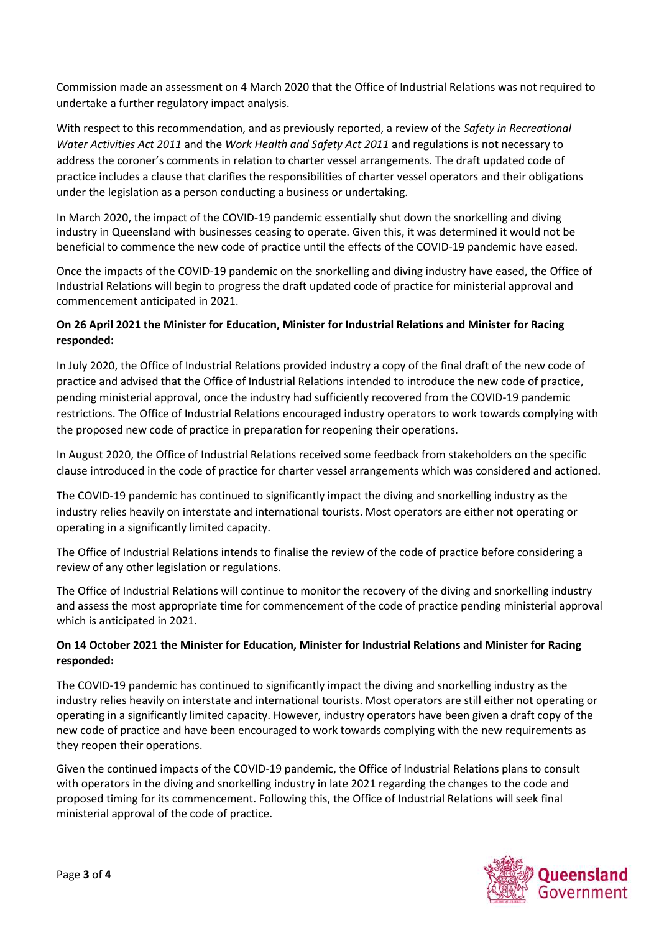Commission made an assessment on 4 March 2020 that the Office of Industrial Relations was not required to undertake a further regulatory impact analysis.

With respect to this recommendation, and as previously reported, a review of the *Safety in Recreational Water Activities Act 2011* and the *Work Health and Safety Act 2011* and regulations is not necessary to address the coroner's comments in relation to charter vessel arrangements. The draft updated code of practice includes a clause that clarifies the responsibilities of charter vessel operators and their obligations under the legislation as a person conducting a business or undertaking.

In March 2020, the impact of the COVID-19 pandemic essentially shut down the snorkelling and diving industry in Queensland with businesses ceasing to operate. Given this, it was determined it would not be beneficial to commence the new code of practice until the effects of the COVID-19 pandemic have eased.

Once the impacts of the COVID-19 pandemic on the snorkelling and diving industry have eased, the Office of Industrial Relations will begin to progress the draft updated code of practice for ministerial approval and commencement anticipated in 2021.

# **On 26 April 2021 the Minister for Education, Minister for Industrial Relations and Minister for Racing responded:**

In July 2020, the Office of Industrial Relations provided industry a copy of the final draft of the new code of practice and advised that the Office of Industrial Relations intended to introduce the new code of practice, pending ministerial approval, once the industry had sufficiently recovered from the COVID-19 pandemic restrictions. The Office of Industrial Relations encouraged industry operators to work towards complying with the proposed new code of practice in preparation for reopening their operations.

In August 2020, the Office of Industrial Relations received some feedback from stakeholders on the specific clause introduced in the code of practice for charter vessel arrangements which was considered and actioned.

The COVID-19 pandemic has continued to significantly impact the diving and snorkelling industry as the industry relies heavily on interstate and international tourists. Most operators are either not operating or operating in a significantly limited capacity.

The Office of Industrial Relations intends to finalise the review of the code of practice before considering a review of any other legislation or regulations.

The Office of Industrial Relations will continue to monitor the recovery of the diving and snorkelling industry and assess the most appropriate time for commencement of the code of practice pending ministerial approval which is anticipated in 2021.

## **On 14 October 2021 the Minister for Education, Minister for Industrial Relations and Minister for Racing responded:**

The COVID-19 pandemic has continued to significantly impact the diving and snorkelling industry as the industry relies heavily on interstate and international tourists. Most operators are still either not operating or operating in a significantly limited capacity. However, industry operators have been given a draft copy of the new code of practice and have been encouraged to work towards complying with the new requirements as they reopen their operations.

Given the continued impacts of the COVID-19 pandemic, the Office of Industrial Relations plans to consult with operators in the diving and snorkelling industry in late 2021 regarding the changes to the code and proposed timing for its commencement. Following this, the Office of Industrial Relations will seek final ministerial approval of the code of practice.